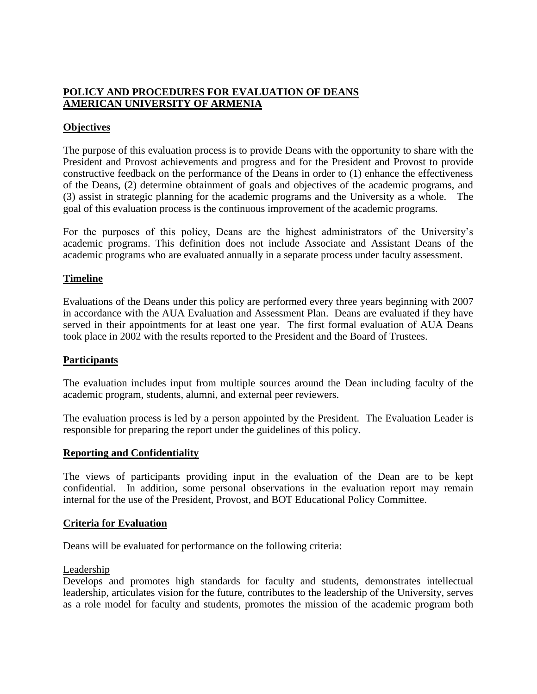# **POLICY AND PROCEDURES FOR EVALUATION OF DEANS AMERICAN UNIVERSITY OF ARMENIA**

## **Objectives**

The purpose of this evaluation process is to provide Deans with the opportunity to share with the President and Provost achievements and progress and for the President and Provost to provide constructive feedback on the performance of the Deans in order to (1) enhance the effectiveness of the Deans, (2) determine obtainment of goals and objectives of the academic programs, and (3) assist in strategic planning for the academic programs and the University as a whole. The goal of this evaluation process is the continuous improvement of the academic programs.

For the purposes of this policy, Deans are the highest administrators of the University's academic programs. This definition does not include Associate and Assistant Deans of the academic programs who are evaluated annually in a separate process under faculty assessment.

## **Timeline**

Evaluations of the Deans under this policy are performed every three years beginning with 2007 in accordance with the AUA Evaluation and Assessment Plan. Deans are evaluated if they have served in their appointments for at least one year. The first formal evaluation of AUA Deans took place in 2002 with the results reported to the President and the Board of Trustees.

### **Participants**

The evaluation includes input from multiple sources around the Dean including faculty of the academic program, students, alumni, and external peer reviewers.

The evaluation process is led by a person appointed by the President. The Evaluation Leader is responsible for preparing the report under the guidelines of this policy.

### **Reporting and Confidentiality**

The views of participants providing input in the evaluation of the Dean are to be kept confidential. In addition, some personal observations in the evaluation report may remain internal for the use of the President, Provost, and BOT Educational Policy Committee.

### **Criteria for Evaluation**

Deans will be evaluated for performance on the following criteria:

### Leadership

Develops and promotes high standards for faculty and students, demonstrates intellectual leadership, articulates vision for the future, contributes to the leadership of the University, serves as a role model for faculty and students, promotes the mission of the academic program both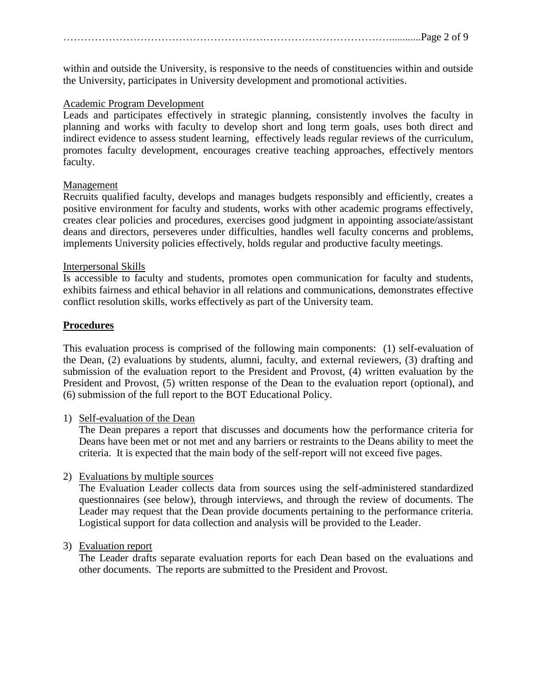within and outside the University, is responsive to the needs of constituencies within and outside the University, participates in University development and promotional activities.

### Academic Program Development

Leads and participates effectively in strategic planning, consistently involves the faculty in planning and works with faculty to develop short and long term goals, uses both direct and indirect evidence to assess student learning, effectively leads regular reviews of the curriculum, promotes faculty development, encourages creative teaching approaches, effectively mentors faculty.

### Management

Recruits qualified faculty, develops and manages budgets responsibly and efficiently, creates a positive environment for faculty and students, works with other academic programs effectively, creates clear policies and procedures, exercises good judgment in appointing associate/assistant deans and directors, perseveres under difficulties, handles well faculty concerns and problems, implements University policies effectively, holds regular and productive faculty meetings.

#### Interpersonal Skills

Is accessible to faculty and students, promotes open communication for faculty and students, exhibits fairness and ethical behavior in all relations and communications, demonstrates effective conflict resolution skills, works effectively as part of the University team.

### **Procedures**

This evaluation process is comprised of the following main components: (1) self-evaluation of the Dean, (2) evaluations by students, alumni, faculty, and external reviewers, (3) drafting and submission of the evaluation report to the President and Provost, (4) written evaluation by the President and Provost, (5) written response of the Dean to the evaluation report (optional), and (6) submission of the full report to the BOT Educational Policy.

### 1) Self-evaluation of the Dean

The Dean prepares a report that discusses and documents how the performance criteria for Deans have been met or not met and any barriers or restraints to the Deans ability to meet the criteria. It is expected that the main body of the self-report will not exceed five pages.

### 2) Evaluations by multiple sources

The Evaluation Leader collects data from sources using the self-administered standardized questionnaires (see below), through interviews, and through the review of documents. The Leader may request that the Dean provide documents pertaining to the performance criteria. Logistical support for data collection and analysis will be provided to the Leader.

### 3) Evaluation report

The Leader drafts separate evaluation reports for each Dean based on the evaluations and other documents. The reports are submitted to the President and Provost.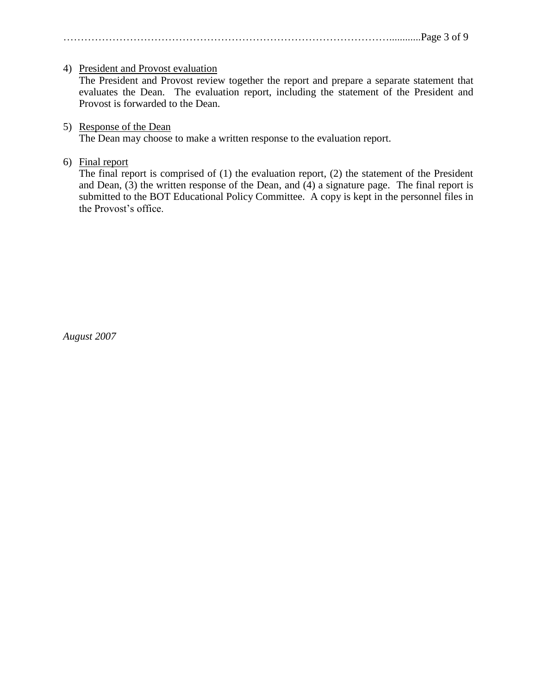## …………………………………………………………………………………............Page 3 of 9

## 4) President and Provost evaluation

The President and Provost review together the report and prepare a separate statement that evaluates the Dean. The evaluation report, including the statement of the President and Provost is forwarded to the Dean.

## 5) Response of the Dean

The Dean may choose to make a written response to the evaluation report.

## 6) Final report

The final report is comprised of (1) the evaluation report, (2) the statement of the President and Dean,  $(3)$  the written response of the Dean, and  $(4)$  a signature page. The final report is submitted to the BOT Educational Policy Committee. A copy is kept in the personnel files in the Provost's office.

*August 2007*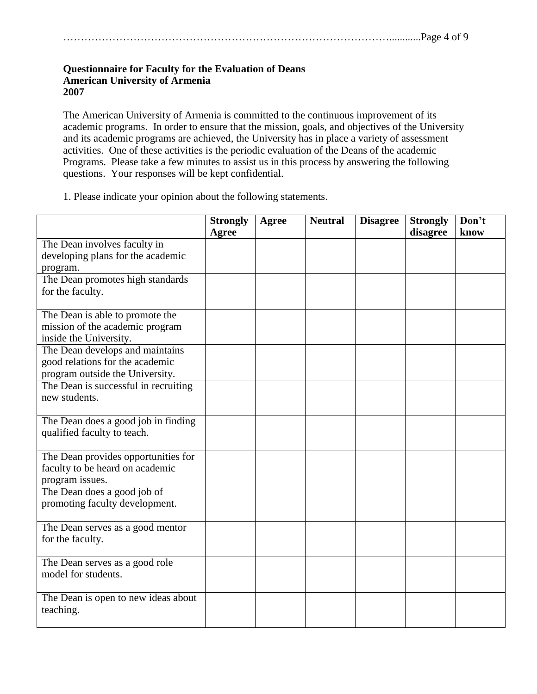#### **Questionnaire for Faculty for the Evaluation of Deans American University of Armenia 2007**

The American University of Armenia is committed to the continuous improvement of its academic programs. In order to ensure that the mission, goals, and objectives of the University and its academic programs are achieved, the University has in place a variety of assessment activities. One of these activities is the periodic evaluation of the Deans of the academic Programs. Please take a few minutes to assist us in this process by answering the following questions. Your responses will be kept confidential.

1. Please indicate your opinion about the following statements.

|                                      | <b>Strongly</b><br>Agree | <b>Agree</b> | <b>Neutral</b> | <b>Disagree</b> | <b>Strongly</b><br>disagree | Don't<br>know |
|--------------------------------------|--------------------------|--------------|----------------|-----------------|-----------------------------|---------------|
| The Dean involves faculty in         |                          |              |                |                 |                             |               |
| developing plans for the academic    |                          |              |                |                 |                             |               |
| program.                             |                          |              |                |                 |                             |               |
| The Dean promotes high standards     |                          |              |                |                 |                             |               |
| for the faculty.                     |                          |              |                |                 |                             |               |
|                                      |                          |              |                |                 |                             |               |
| The Dean is able to promote the      |                          |              |                |                 |                             |               |
| mission of the academic program      |                          |              |                |                 |                             |               |
| inside the University.               |                          |              |                |                 |                             |               |
| The Dean develops and maintains      |                          |              |                |                 |                             |               |
| good relations for the academic      |                          |              |                |                 |                             |               |
| program outside the University.      |                          |              |                |                 |                             |               |
| The Dean is successful in recruiting |                          |              |                |                 |                             |               |
| new students.                        |                          |              |                |                 |                             |               |
|                                      |                          |              |                |                 |                             |               |
| The Dean does a good job in finding  |                          |              |                |                 |                             |               |
| qualified faculty to teach.          |                          |              |                |                 |                             |               |
| The Dean provides opportunities for  |                          |              |                |                 |                             |               |
| faculty to be heard on academic      |                          |              |                |                 |                             |               |
| program issues.                      |                          |              |                |                 |                             |               |
| The Dean does a good job of          |                          |              |                |                 |                             |               |
| promoting faculty development.       |                          |              |                |                 |                             |               |
|                                      |                          |              |                |                 |                             |               |
| The Dean serves as a good mentor     |                          |              |                |                 |                             |               |
| for the faculty.                     |                          |              |                |                 |                             |               |
|                                      |                          |              |                |                 |                             |               |
| The Dean serves as a good role       |                          |              |                |                 |                             |               |
| model for students.                  |                          |              |                |                 |                             |               |
|                                      |                          |              |                |                 |                             |               |
| The Dean is open to new ideas about  |                          |              |                |                 |                             |               |
| teaching.                            |                          |              |                |                 |                             |               |
|                                      |                          |              |                |                 |                             |               |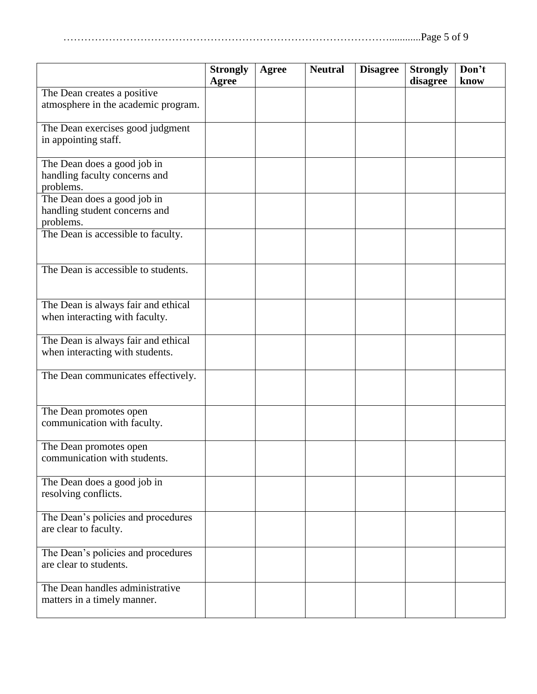|--|--|

|                                                                           | <b>Strongly</b><br>Agree | <b>Agree</b> | <b>Neutral</b> | <b>Disagree</b> | <b>Strongly</b><br>disagree | Don't<br>know |
|---------------------------------------------------------------------------|--------------------------|--------------|----------------|-----------------|-----------------------------|---------------|
| The Dean creates a positive<br>atmosphere in the academic program.        |                          |              |                |                 |                             |               |
| The Dean exercises good judgment<br>in appointing staff.                  |                          |              |                |                 |                             |               |
| The Dean does a good job in<br>handling faculty concerns and<br>problems. |                          |              |                |                 |                             |               |
| The Dean does a good job in<br>handling student concerns and<br>problems. |                          |              |                |                 |                             |               |
| The Dean is accessible to faculty.                                        |                          |              |                |                 |                             |               |
| The Dean is accessible to students.                                       |                          |              |                |                 |                             |               |
| The Dean is always fair and ethical<br>when interacting with faculty.     |                          |              |                |                 |                             |               |
| The Dean is always fair and ethical<br>when interacting with students.    |                          |              |                |                 |                             |               |
| The Dean communicates effectively.                                        |                          |              |                |                 |                             |               |
| The Dean promotes open<br>communication with faculty.                     |                          |              |                |                 |                             |               |
| The Dean promotes open<br>communication with students.                    |                          |              |                |                 |                             |               |
| The Dean does a good job in<br>resolving conflicts.                       |                          |              |                |                 |                             |               |
| The Dean's policies and procedures<br>are clear to faculty.               |                          |              |                |                 |                             |               |
| The Dean's policies and procedures<br>are clear to students.              |                          |              |                |                 |                             |               |
| The Dean handles administrative<br>matters in a timely manner.            |                          |              |                |                 |                             |               |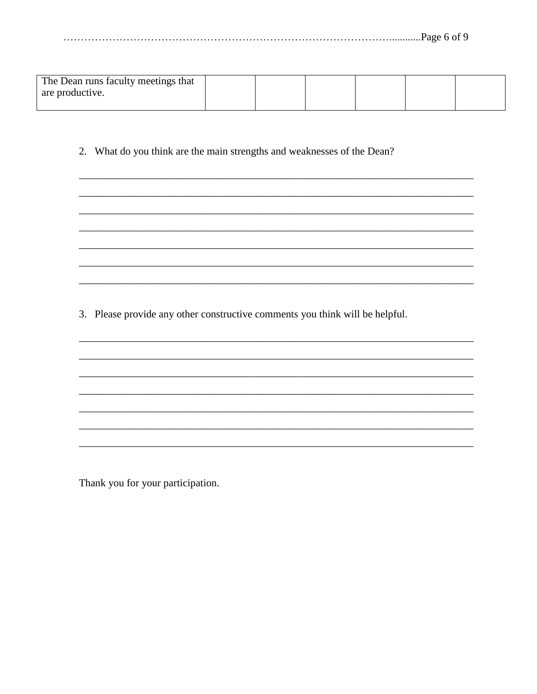| The Dean runs faculty meetings that |  |  |  |
|-------------------------------------|--|--|--|
| are productive.                     |  |  |  |
|                                     |  |  |  |

2. What do you think are the main strengths and weaknesses of the Dean?

3. Please provide any other constructive comments you think will be helpful.

Thank you for your participation.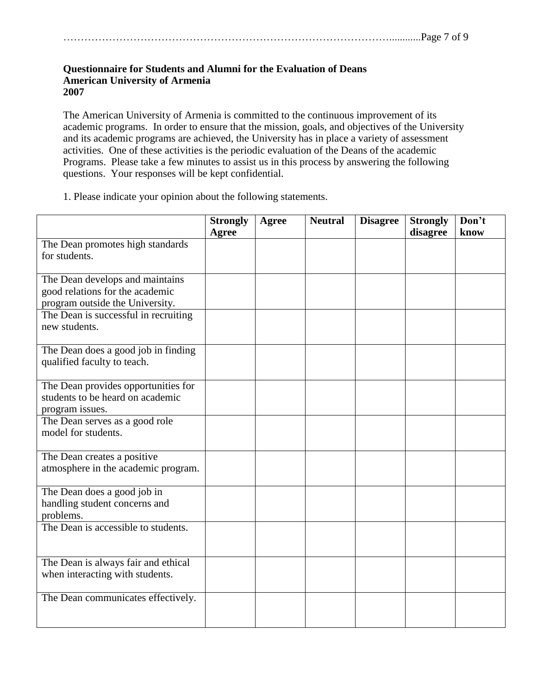#### **Questionnaire for Students and Alumni for the Evaluation of Deans American University of Armenia 2007**

The American University of Armenia is committed to the continuous improvement of its academic programs. In order to ensure that the mission, goals, and objectives of the University and its academic programs are achieved, the University has in place a variety of assessment activities. One of these activities is the periodic evaluation of the Deans of the academic Programs. Please take a few minutes to assist us in this process by answering the following questions. Your responses will be kept confidential.

1. Please indicate your opinion about the following statements.

| <b>Strongly</b> | <b>Agree</b> | <b>Neutral</b> | <b>Disagree</b> | <b>Strongly</b> | Don't    |
|-----------------|--------------|----------------|-----------------|-----------------|----------|
|                 |              |                |                 |                 | know     |
|                 |              |                |                 |                 |          |
|                 |              |                |                 |                 |          |
|                 |              |                |                 |                 |          |
|                 |              |                |                 |                 |          |
|                 |              |                |                 |                 |          |
|                 |              |                |                 |                 |          |
|                 |              |                |                 |                 |          |
|                 |              |                |                 |                 |          |
|                 |              |                |                 |                 |          |
|                 |              |                |                 |                 |          |
|                 |              |                |                 |                 |          |
|                 |              |                |                 |                 |          |
|                 |              |                |                 |                 |          |
|                 |              |                |                 |                 |          |
|                 |              |                |                 |                 |          |
|                 |              |                |                 |                 |          |
|                 |              |                |                 |                 |          |
|                 |              |                |                 |                 |          |
|                 |              |                |                 |                 |          |
|                 |              |                |                 |                 |          |
|                 |              |                |                 |                 |          |
|                 |              |                |                 |                 |          |
|                 |              |                |                 |                 |          |
|                 |              |                |                 |                 |          |
|                 |              |                |                 |                 |          |
|                 |              |                |                 |                 |          |
|                 |              |                |                 |                 |          |
|                 |              |                |                 |                 |          |
|                 |              |                |                 |                 |          |
|                 |              |                |                 |                 |          |
|                 |              |                |                 |                 |          |
|                 |              |                |                 |                 |          |
|                 |              |                |                 |                 |          |
|                 | <b>Agree</b> |                |                 |                 | disagree |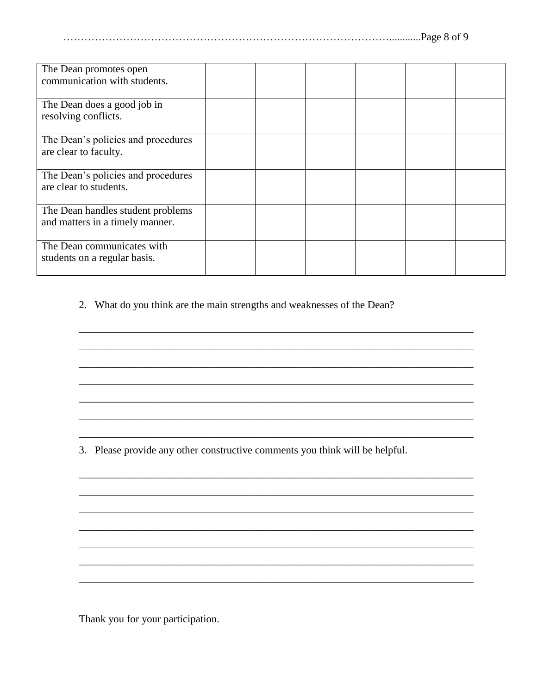| $P\text{age } 8 \text{ of } >$ |  |
|--------------------------------|--|
|--------------------------------|--|

| The Dean promotes open<br>communication with students.               |  |  |  |
|----------------------------------------------------------------------|--|--|--|
| The Dean does a good job in<br>resolving conflicts.                  |  |  |  |
| The Dean's policies and procedures<br>are clear to faculty.          |  |  |  |
| The Dean's policies and procedures<br>are clear to students.         |  |  |  |
| The Dean handles student problems<br>and matters in a timely manner. |  |  |  |
| The Dean communicates with<br>students on a regular basis.           |  |  |  |

2. What do you think are the main strengths and weaknesses of the Dean?

3. Please provide any other constructive comments you think will be helpful.

Thank you for your participation.